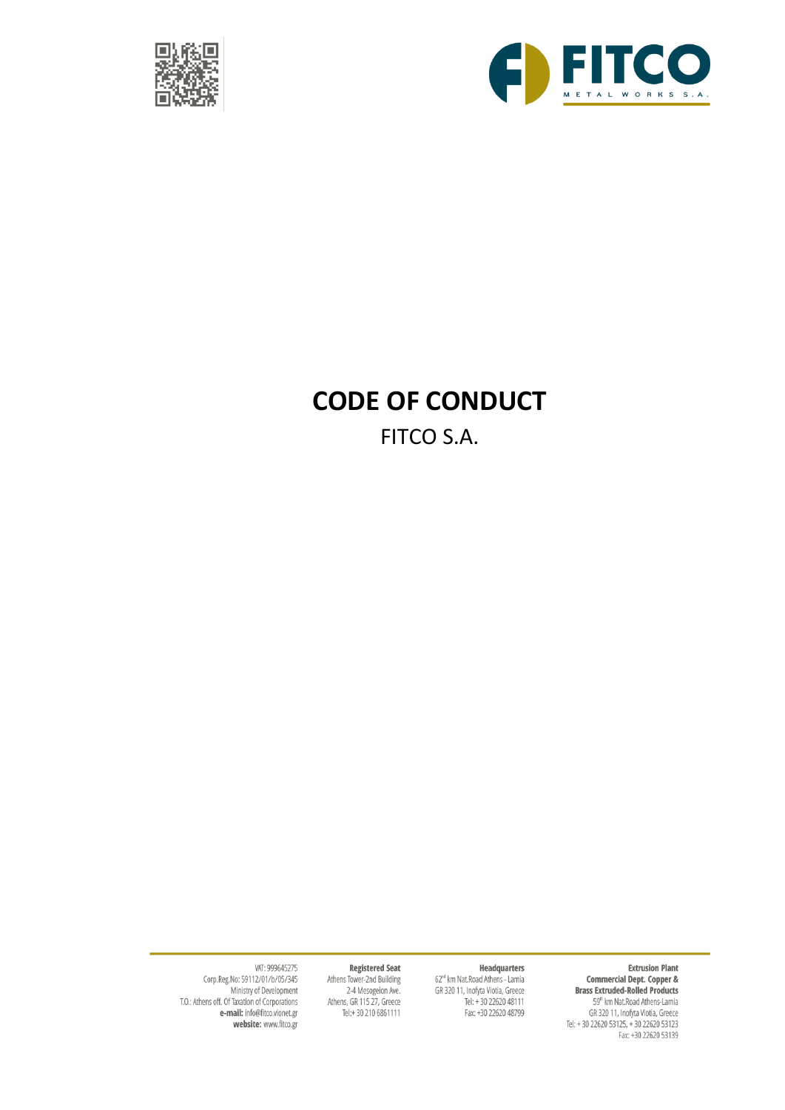



# **CODE OF CONDUCT**

FITCO S.A.

**Extrusion Plant** 

Extrusion Plant<br> **Commercial Dept. Copper &**<br> **Brass Extruded-Rolled Products**<br>
59<sup>n</sup> km Nat.Road Athens-Lamia<br>
GR 320 11, Inofyta Viotia, Greece<br>
Tel: + 30 22620 53125, + 30 22620 53123<br>
Fax: +30 22620 53139

#### **Registered Seat**

Headquarters

62<sup>nd</sup> km Nat.Road Athens - Lamia

GR 320 11, Inofyta Viotia, Greece<br>Tel: + 30 22620 48111<br>Fax: +30 22620 48799

Athens Tower-2nd Building 2-4 Mesogeion Ave. Athens, GR 115 27, Greece Tel:+30 210 6861111

VAT: 999645275 Corp.Reg.No: 59112/01/b/05/345 Ministry of Development<br>T.O.: Athens off. Of Taxation of Corporations<br>**e-mail:** info@fitco.vionet.gr website: www.fitco.gr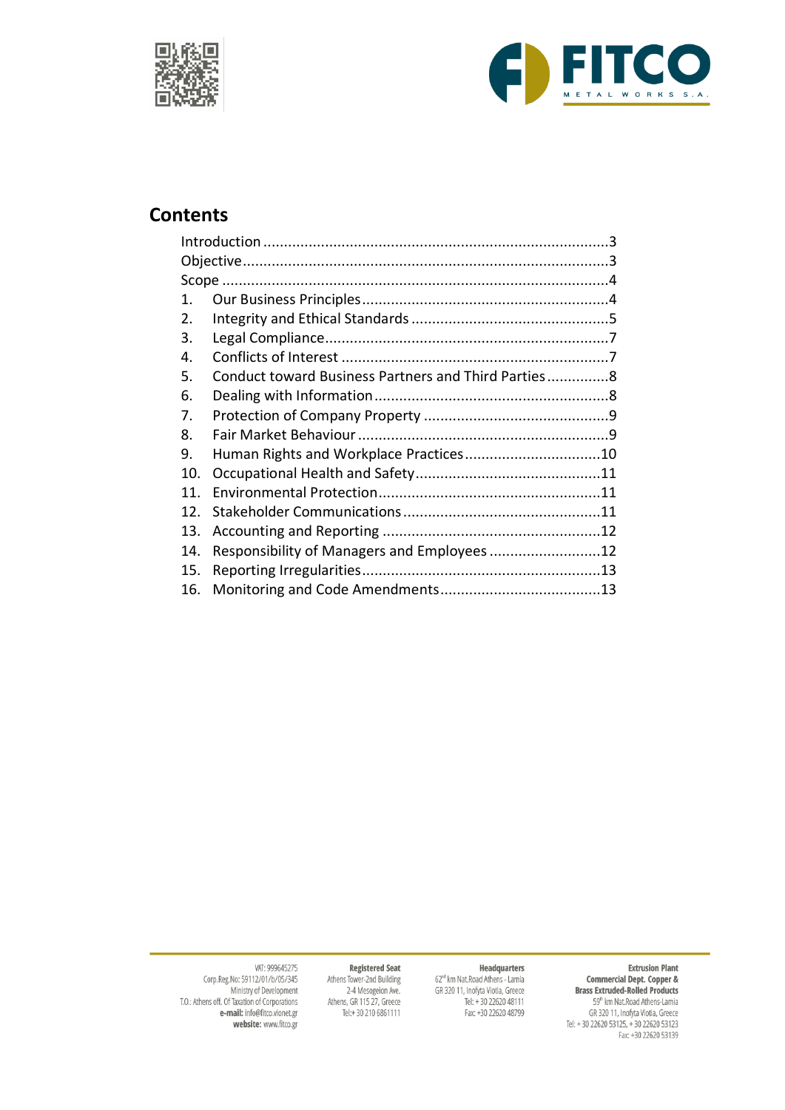



# **Contents**

| 1.  |                                                     |  |
|-----|-----------------------------------------------------|--|
| 2.  |                                                     |  |
| 3.  |                                                     |  |
| 4.  |                                                     |  |
| 5.  | Conduct toward Business Partners and Third Parties8 |  |
| 6.  |                                                     |  |
| 7.  |                                                     |  |
| 8.  |                                                     |  |
| 9.  | Human Rights and Workplace Practices10              |  |
| 10. |                                                     |  |
| 11. |                                                     |  |
| 12. |                                                     |  |
| 13. |                                                     |  |
| 14. |                                                     |  |
| 15. |                                                     |  |
| 16. |                                                     |  |

#### **Extrusion Plant**

Extrusion Plant<br> **Commercial Dept. Copper &**<br> **Brass Extruded-Rolled Products**<br>
59<sup>th</sup> km Nat.Road Athens-Lamia<br>
GR 320 11, Inofyta Viotia, Greece<br>
Tel: + 30 22620 53125, + 30 22620 53123<br>
Fax: +30 22620 53139

Headquarters

62<sup>nd</sup> km Nat.Road Athens - Lamia

GR 320 11, Inofyta Viotia, Greece<br>Tel: + 30 22620 48111<br>Fax: +30 22620 48799

#### **Registered Seat**

Athens Tower-2nd Building 2-4 Mesogeion Ave.<br>2-4 Mesogeion Ave.<br>Athens, GR 115 27, Greece<br>Tel:+ 30 210 6861111

VAT: 999645275<br>Corp.Reg.No: 59112/01/b/05/345 Ministry of Development<br>T.O.: Athens off. Of Taxation of Corporations<br>**e-mail:** info@fitco.vionet.gr website: www.fitco.gr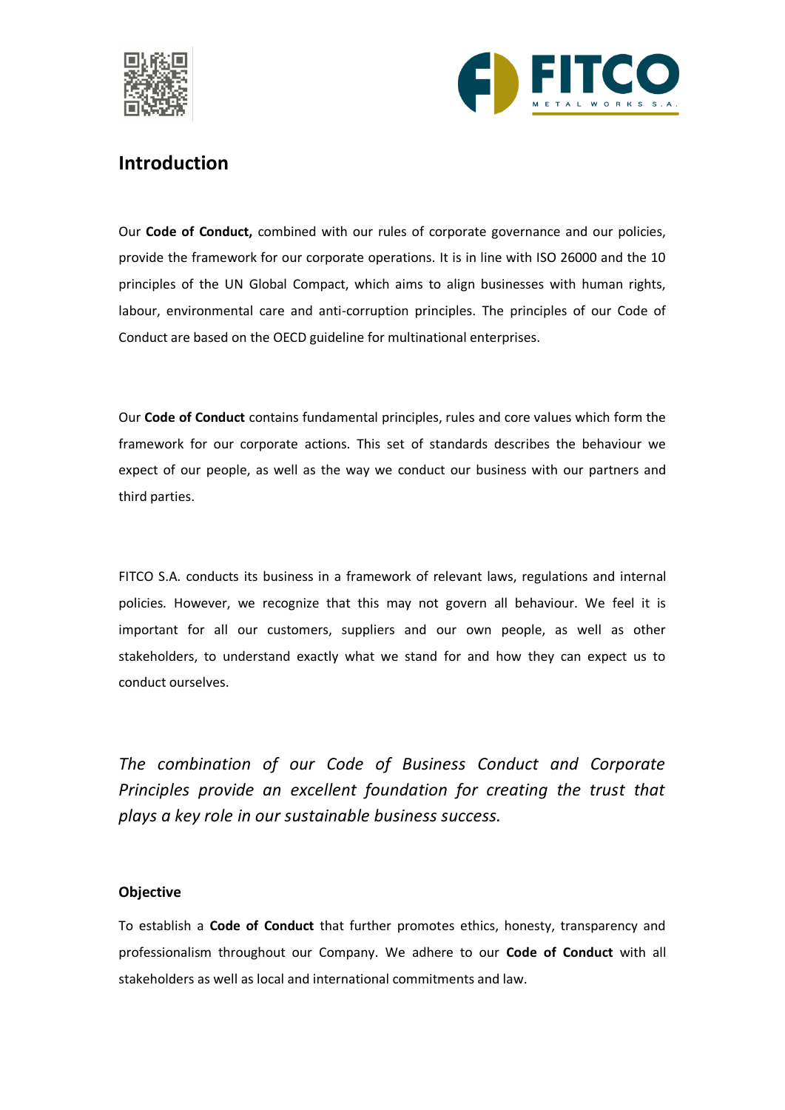



### <span id="page-2-0"></span>**Introduction**

Our **Code of Conduct,** combined with our rules of corporate governance and our policies, provide the framework for our corporate operations. It is in line with ISO 26000 and the 10 principles of the UN Global Compact, which aims to align businesses with human rights, labour, environmental care and anti-corruption principles. The principles of our Code of Conduct are based on the OECD guideline for multinational enterprises.

Our **Code of Conduct** contains fundamental principles, rules and core values which form the framework for our corporate actions. This set of standards describes the behaviour we expect of our people, as well as the way we conduct our business with our partners and third parties.

FITCO S.A. conducts its business in a framework of relevant laws, regulations and internal policies. However, we recognize that this may not govern all behaviour. We feel it is important for all our customers, suppliers and our own people, as well as other stakeholders, to understand exactly what we stand for and how they can expect us to conduct ourselves.

*The combination of our Code of Business Conduct and Corporate Principles provide an excellent foundation for creating the trust that plays a key role in our sustainable business success.*

### <span id="page-2-1"></span>**Objective**

To establish a **Code of Conduct** that further promotes ethics, honesty, transparency and professionalism throughout our Company. We adhere to our **Code of Conduct** with all stakeholders as well as local and international commitments and law.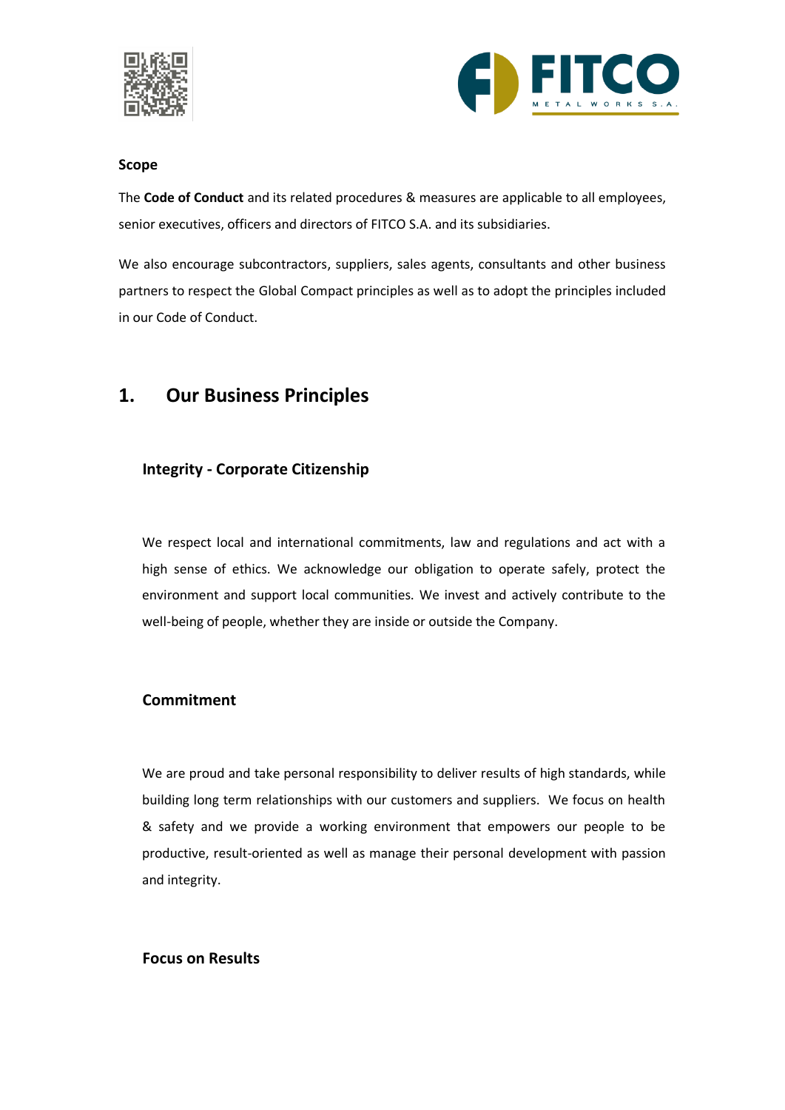



### <span id="page-3-0"></span>**Scope**

The **Code of Conduct** and its related procedures & measures are applicable to all employees, senior executives, officers and directors of FITCO S.A. and its subsidiaries.

We also encourage subcontractors, suppliers, sales agents, consultants and other business partners to respect the Global Compact principles as well as to adopt the principles included in our Code of Conduct.

### <span id="page-3-1"></span>**1. Our Business Principles**

### **Integrity - Corporate Citizenship**

We respect local and international commitments, law and regulations and act with a high sense of ethics. We acknowledge our obligation to operate safely, protect the environment and support local communities. We invest and actively contribute to the well-being of people, whether they are inside or outside the Company.

### **Commitment**

We are proud and take personal responsibility to deliver results of high standards, while building long term relationships with our customers and suppliers. We focus on health & safety and we provide a working environment that empowers our people to be productive, result-oriented as well as manage their personal development with passion and integrity.

### **Focus on Results**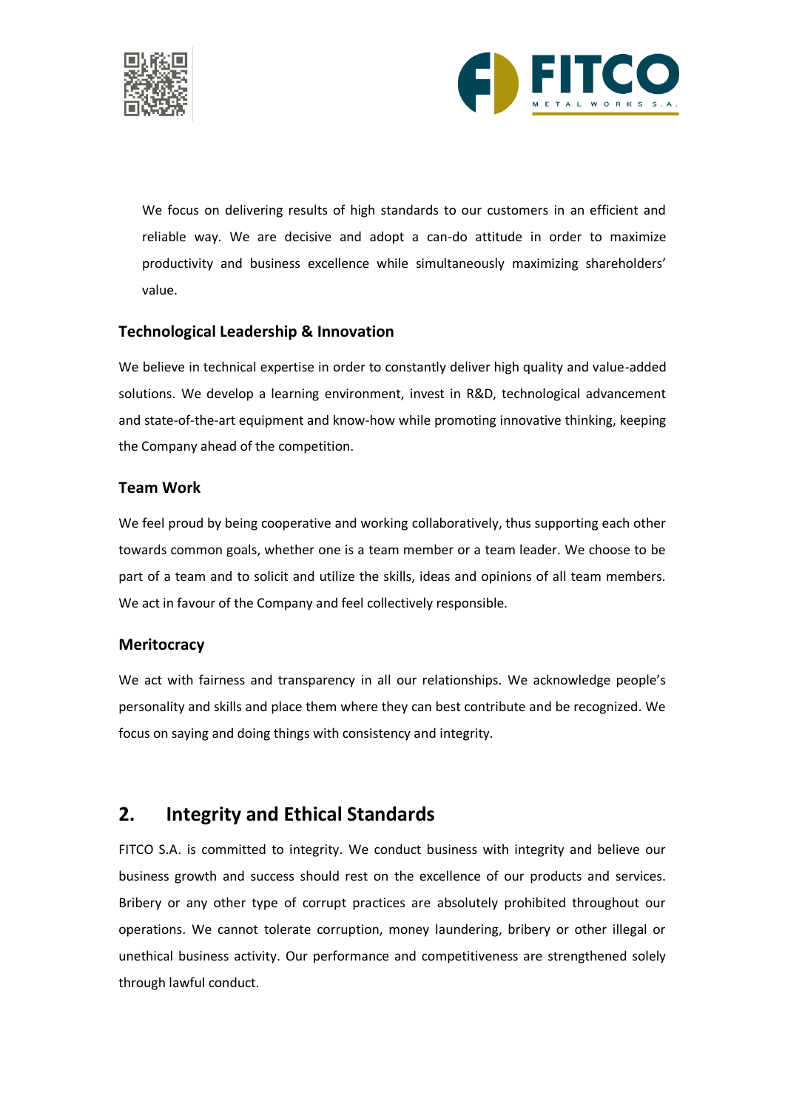



We focus on delivering results of high standards to our customers in an efficient and reliable way. We are decisive and adopt a can-do attitude in order to maximize productivity and business excellence while simultaneously maximizing shareholders' value.

### **Technological Leadership & Innovation**

We believe in technical expertise in order to constantly deliver high quality and value-added solutions. We develop a learning environment, invest in R&D, technological advancement and state-of-the-art equipment and know-how while promoting innovative thinking, keeping the Company ahead of the competition.

### **Team Work**

We feel proud by being cooperative and working collaboratively, thus supporting each other towards common goals, whether one is a team member or a team leader. We choose to be part of a team and to solicit and utilize the skills, ideas and opinions of all team members. We act in favour of the Company and feel collectively responsible.

### **Meritocracy**

We act with fairness and transparency in all our relationships. We acknowledge people's personality and skills and place them where they can best contribute and be recognized. We focus on saying and doing things with consistency and integrity.

### <span id="page-4-0"></span>**2. Integrity and Ethical Standards**

FITCO S.A. is committed to integrity. We conduct business with integrity and believe our business growth and success should rest on the excellence of our products and services. Bribery or any other type of corrupt practices are absolutely prohibited throughout our operations. We cannot tolerate corruption, money laundering, bribery or other illegal or unethical business activity. Our performance and competitiveness are strengthened solely through lawful conduct.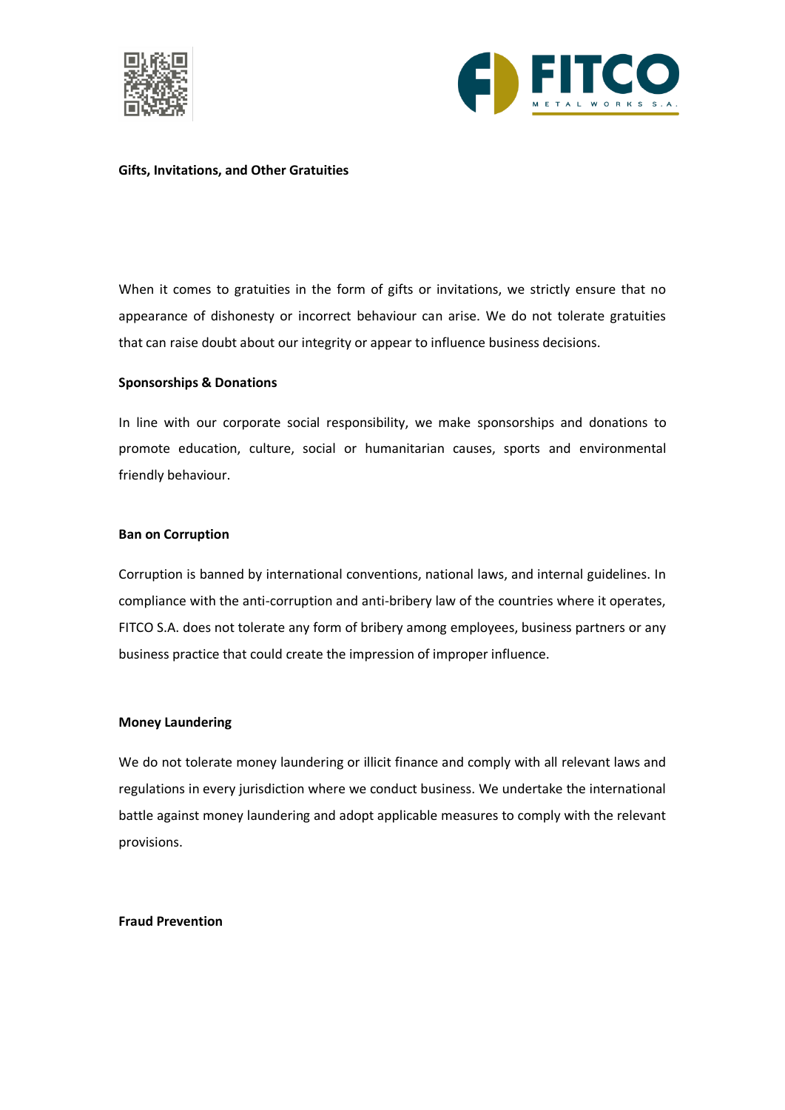



#### **Gifts, Invitations, and Other Gratuities**

When it comes to gratuities in the form of gifts or invitations, we strictly ensure that no appearance of dishonesty or incorrect behaviour can arise. We do not tolerate gratuities that can raise doubt about our integrity or appear to influence business decisions.

#### **Sponsorships & Donations**

In line with our corporate social responsibility, we make sponsorships and donations to promote education, culture, social or humanitarian causes, sports and environmental friendly behaviour.

#### **Ban on Corruption**

Corruption is banned by international conventions, national laws, and internal guidelines. In compliance with the anti-corruption and anti-bribery law of the countries where it operates, FITCO S.A. does not tolerate any form of bribery among employees, business partners or any business practice that could create the impression of improper influence.

#### **Money Laundering**

We do not tolerate money laundering or illicit finance and comply with all relevant laws and regulations in every jurisdiction where we conduct business. We undertake the international battle against money laundering and adopt applicable measures to comply with the relevant provisions.

#### **Fraud Prevention**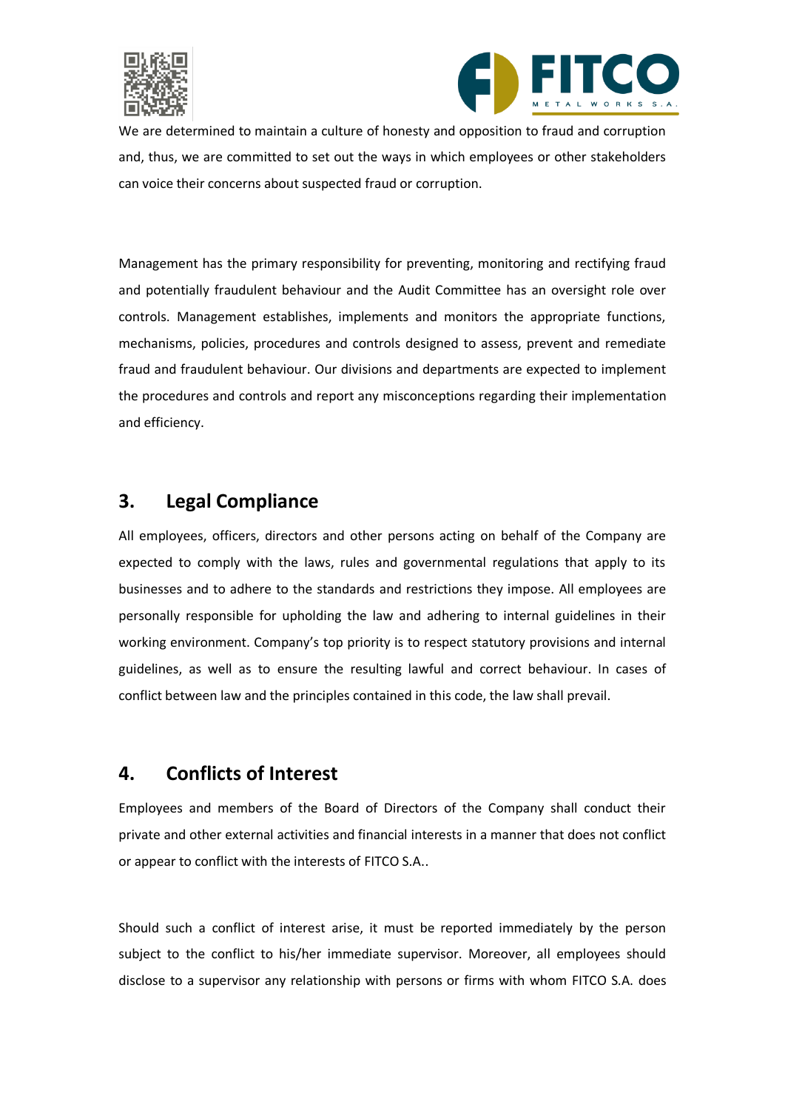



We are determined to maintain a culture of honesty and opposition to fraud and corruption and, thus, we are committed to set out the ways in which employees or other stakeholders can voice their concerns about suspected fraud or corruption.

Management has the primary responsibility for preventing, monitoring and rectifying fraud and potentially fraudulent behaviour and the Audit Committee has an oversight role over controls. Management establishes, implements and monitors the appropriate functions, mechanisms, policies, procedures and controls designed to assess, prevent and remediate fraud and fraudulent behaviour. Our divisions and departments are expected to implement the procedures and controls and report any misconceptions regarding their implementation and efficiency.

### <span id="page-6-0"></span>**3. Legal Compliance**

All employees, officers, directors and other persons acting on behalf of the Company are expected to comply with the laws, rules and governmental regulations that apply to its businesses and to adhere to the standards and restrictions they impose. All employees are personally responsible for upholding the law and adhering to internal guidelines in their working environment. Company's top priority is to respect statutory provisions and internal guidelines, as well as to ensure the resulting lawful and correct behaviour. In cases of conflict between law and the principles contained in this code, the law shall prevail.

# <span id="page-6-1"></span>**4. Conflicts of Interest**

Employees and members of the Board of Directors of the Company shall conduct their private and other external activities and financial interests in a manner that does not conflict or appear to conflict with the interests of FITCO S.A..

Should such a conflict of interest arise, it must be reported immediately by the person subject to the conflict to his/her immediate supervisor. Moreover, all employees should disclose to a supervisor any relationship with persons or firms with whom FITCO S.A. does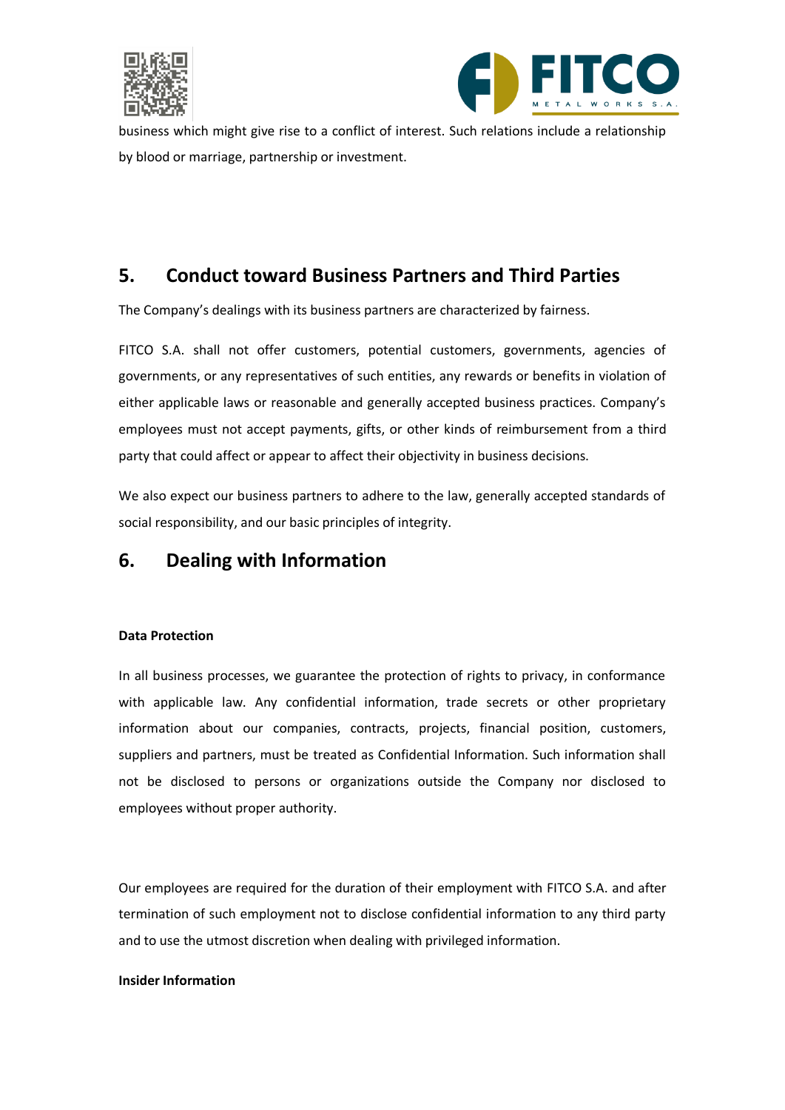



business which might give rise to a conflict of interest. Such relations include a relationship by blood or marriage, partnership or investment.

# <span id="page-7-0"></span>**5. Conduct toward Business Partners and Third Parties**

The Company's dealings with its business partners are characterized by fairness.

FITCO S.A. shall not offer customers, potential customers, governments, agencies of governments, or any representatives of such entities, any rewards or benefits in violation of either applicable laws or reasonable and generally accepted business practices. Company's employees must not accept payments, gifts, or other kinds of reimbursement from a third party that could affect or appear to affect their objectivity in business decisions.

We also expect our business partners to adhere to the law, generally accepted standards of social responsibility, and our basic principles of integrity.

### <span id="page-7-1"></span>**6. Dealing with Information**

### **Data Protection**

In all business processes, we guarantee the protection of rights to privacy, in conformance with applicable law. Any confidential information, trade secrets or other proprietary information about our companies, contracts, projects, financial position, customers, suppliers and partners, must be treated as Confidential Information. Such information shall not be disclosed to persons or organizations outside the Company nor disclosed to employees without proper authority.

Our employees are required for the duration of their employment with FITCO S.A. and after termination of such employment not to disclose confidential information to any third party and to use the utmost discretion when dealing with privileged information.

### **Insider Information**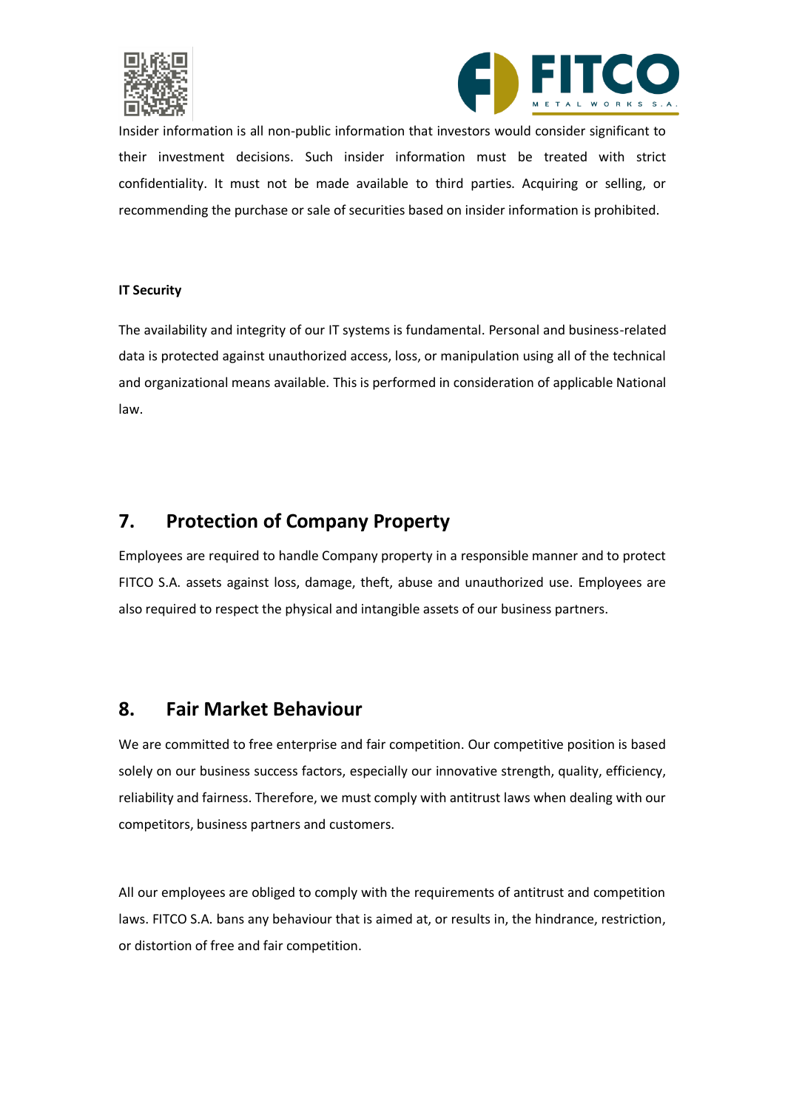



Insider information is all non-public information that investors would consider significant to their investment decisions. Such insider information must be treated with strict confidentiality. It must not be made available to third parties. Acquiring or selling, or recommending the purchase or sale of securities based on insider information is prohibited.

### **IT Security**

The availability and integrity of our IT systems is fundamental. Personal and business-related data is protected against unauthorized access, loss, or manipulation using all of the technical and organizational means available. This is performed in consideration of applicable National law.

### <span id="page-8-0"></span>**7. Protection of Company Property**

Employees are required to handle Company property in a responsible manner and to protect FITCO S.A. assets against loss, damage, theft, abuse and unauthorized use. Employees are also required to respect the physical and intangible assets of our business partners.

### <span id="page-8-1"></span>**8. Fair Market Behaviour**

We are committed to free enterprise and fair competition. Our competitive position is based solely on our business success factors, especially our innovative strength, quality, efficiency, reliability and fairness. Therefore, we must comply with antitrust laws when dealing with our competitors, business partners and customers.

All our employees are obliged to comply with the requirements of antitrust and competition laws. FITCO S.A. bans any behaviour that is aimed at, or results in, the hindrance, restriction, or distortion of free and fair competition.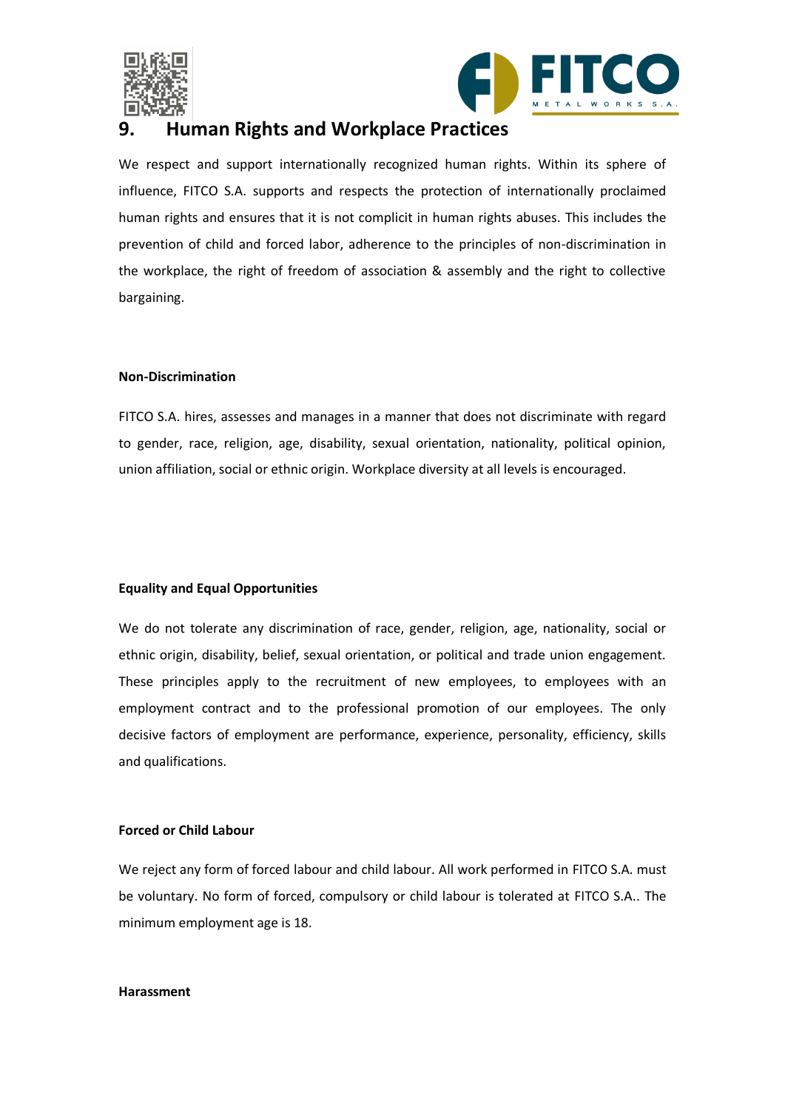



### <span id="page-9-0"></span>**9. Human Rights and Workplace Practices**

We respect and support internationally recognized human rights. Within its sphere of influence, FITCO S.A. supports and respects the protection of internationally proclaimed human rights and ensures that it is not complicit in human rights abuses. This includes the prevention of child and forced labor, adherence to the principles of non-discrimination in the workplace, the right of freedom of association & assembly and the right to collective bargaining.

### **Non-Discrimination**

FITCO S.A. hires, assesses and manages in a manner that does not discriminate with regard to gender, race, religion, age, disability, sexual orientation, nationality, political opinion, union affiliation, social or ethnic origin. Workplace diversity at all levels is encouraged.

### **Equality and Equal Opportunities**

We do not tolerate any discrimination of race, gender, religion, age, nationality, social or ethnic origin, disability, belief, sexual orientation, or political and trade union engagement. These principles apply to the recruitment of new employees, to employees with an employment contract and to the professional promotion of our employees. The only decisive factors of employment are performance, experience, personality, efficiency, skills and qualifications.

### **Forced or Child Labour**

We reject any form of forced labour and child labour. All work performed in FITCO S.A. must be voluntary. No form of forced, compulsory or child labour is tolerated at FITCO S.A.. The minimum employment age is 18.

#### **Harassment**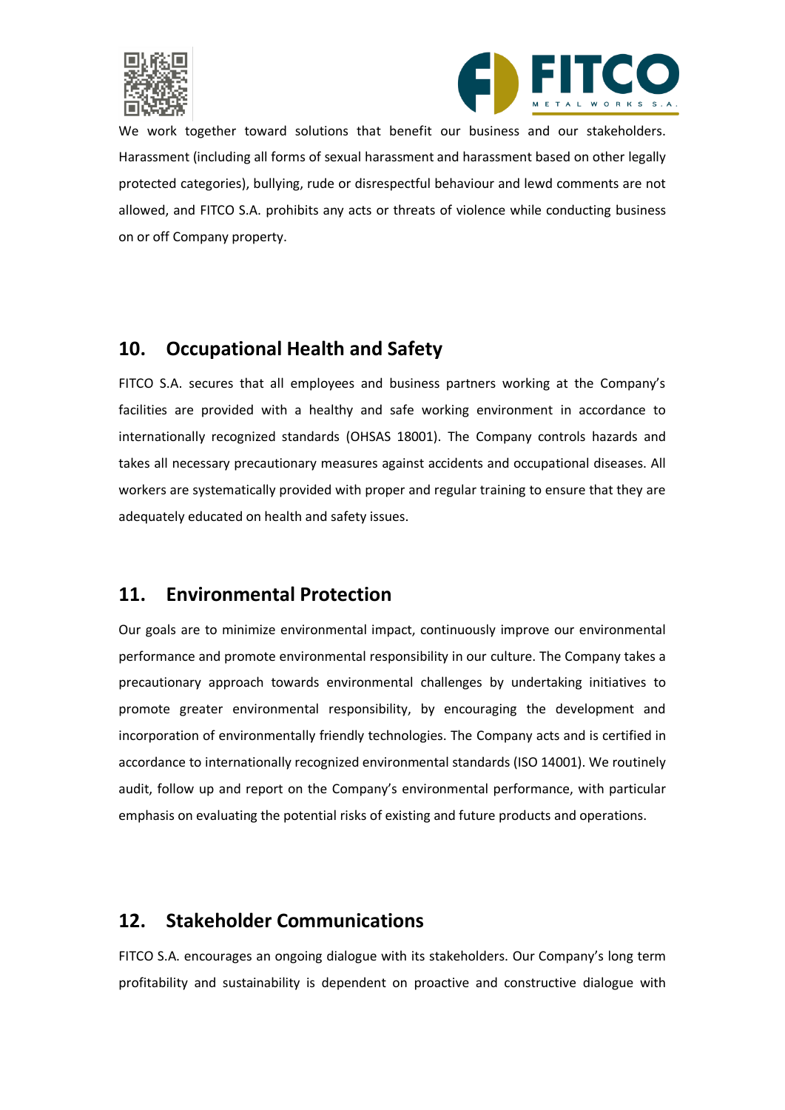



We work together toward solutions that benefit our business and our stakeholders. Harassment (including all forms of sexual harassment and harassment based on other legally protected categories), bullying, rude or disrespectful behaviour and lewd comments are not allowed, and FITCO S.A. prohibits any acts or threats of violence while conducting business on or off Company property.

# <span id="page-10-0"></span>**10. Occupational Health and Safety**

FITCO S.A. secures that all employees and business partners working at the Company's facilities are provided with a healthy and safe working environment in accordance to internationally recognized standards (OHSAS 18001). The Company controls hazards and takes all necessary precautionary measures against accidents and occupational diseases. All workers are systematically provided with proper and regular training to ensure that they are adequately educated on health and safety issues.

# <span id="page-10-1"></span>**11. Environmental Protection**

Our goals are to minimize environmental impact, continuously improve our environmental performance and promote environmental responsibility in our culture. The Company takes a precautionary approach towards environmental challenges by undertaking initiatives to promote greater environmental responsibility, by encouraging the development and incorporation of environmentally friendly technologies. The Company acts and is certified in accordance to internationally recognized environmental standards (ISO 14001). We routinely audit, follow up and report on the Company's environmental performance, with particular emphasis on evaluating the potential risks of existing and future products and operations.

# <span id="page-10-2"></span>**12. Stakeholder Communications**

FITCO S.A. encourages an ongoing dialogue with its stakeholders. Our Company's long term profitability and sustainability is dependent on proactive and constructive dialogue with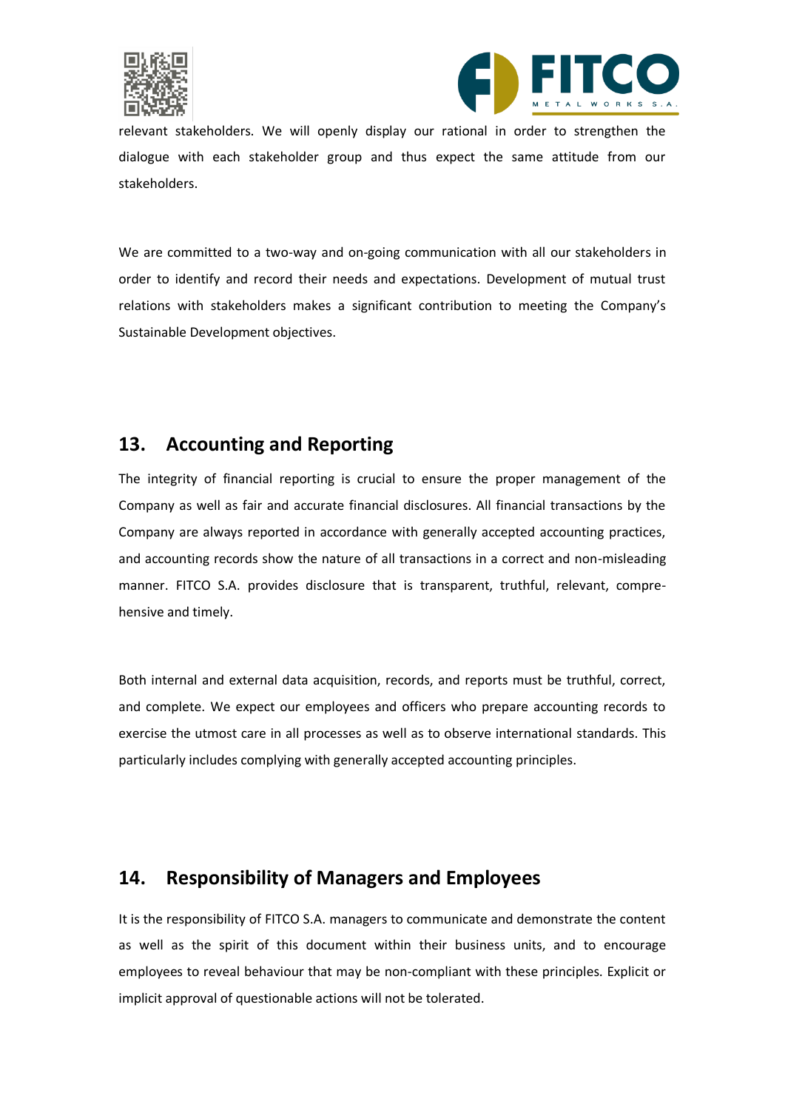



relevant stakeholders. We will openly display our rational in order to strengthen the dialogue with each stakeholder group and thus expect the same attitude from our stakeholders.

We are committed to a two-way and on-going communication with all our stakeholders in order to identify and record their needs and expectations. Development of mutual trust relations with stakeholders makes a significant contribution to meeting the Company's Sustainable Development objectives.

# <span id="page-11-0"></span>**13. Accounting and Reporting**

The integrity of financial reporting is crucial to ensure the proper management of the Company as well as fair and accurate financial disclosures. All financial transactions by the Company are always reported in accordance with generally accepted accounting practices, and accounting records show the nature of all transactions in a correct and non-misleading manner. FITCO S.A. provides disclosure that is transparent, truthful, relevant, comprehensive and timely.

Both internal and external data acquisition, records, and reports must be truthful, correct, and complete. We expect our employees and officers who prepare accounting records to exercise the utmost care in all processes as well as to observe international standards. This particularly includes complying with generally accepted accounting principles.

### <span id="page-11-1"></span>**14. Responsibility of Managers and Employees**

It is the responsibility of FITCO S.A. managers to communicate and demonstrate the content as well as the spirit of this document within their business units, and to encourage employees to reveal behaviour that may be non-compliant with these principles. Explicit or implicit approval of questionable actions will not be tolerated.